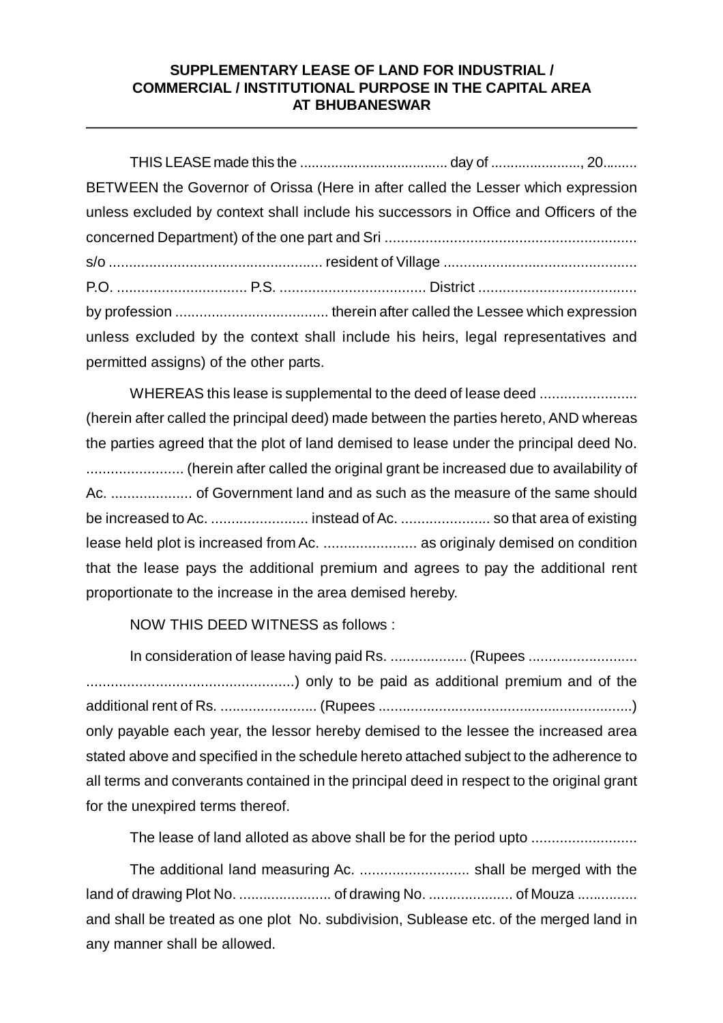## **SUPPLEMENTARY LEASE OF LAND FOR INDUSTRIAL / COMMERCIAL / INSTITUTIONAL PURPOSE IN THE CAPITAL AREA AT BHUBANESWAR**

| BETWEEN the Governor of Orissa (Here in after called the Lesser which expression      |  |
|---------------------------------------------------------------------------------------|--|
| unless excluded by context shall include his successors in Office and Officers of the |  |
|                                                                                       |  |
|                                                                                       |  |
|                                                                                       |  |
|                                                                                       |  |
| unless excluded by the context shall include his heirs, legal representatives and     |  |
| permitted assigns) of the other parts.                                                |  |

WHEREAS this lease is supplemental to the deed of lease deed ......................... (herein after called the principal deed) made between the parties hereto, AND whereas the parties agreed that the plot of land demised to lease under the principal deed No. ........................ (herein after called the original grant be increased due to availability of Ac. .................... of Government land and as such as the measure of the same should be increased to Ac. ........................ instead of Ac. ...................... so that area of existing lease held plot is increased from Ac. ....................... as originaly demised on condition that the lease pays the additional premium and agrees to pay the additional rent proportionate to the increase in the area demised hereby.

NOW THIS DEED WITNESS as follows :

In consideration of lease having paid Rs. .................... (Rupees ............................. ...................................................) only to be paid as additional premium and of the additional rent of Rs. ........................ (Rupees ...............................................................) only payable each year, the lessor hereby demised to the lessee the increased area stated above and specified in the schedule hereto attached subject to the adherence to all terms and converants contained in the principal deed in respect to the original grant for the unexpired terms thereof.

The lease of land alloted as above shall be for the period upto ..........................

The additional land measuring Ac. ........................... shall be merged with the land of drawing Plot No. ....................... of drawing No. ..................... of Mouza ............... and shall be treated as one plot No. subdivision, Sublease etc. of the merged land in any manner shall be allowed.